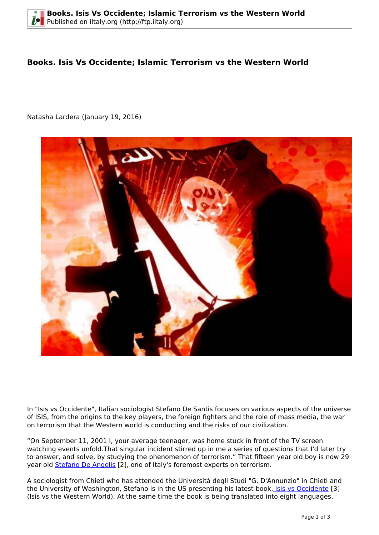# **Books. Isis Vs Occidente; Islamic Terrorism vs the Western World**

Natasha Lardera (January 19, 2016)



In "Isis vs Occidente", Italian sociologist Stefano De Santis focuses on various aspects of the universe of ISIS, from the origins to the key players, the foreign fighters and the role of mass media, the war on terrorism that the Western world is conducting and the risks of our civilization.

"On September 11, 2001 I, your average teenager, was home stuck in front of the TV screen watching events unfold.That singular incident stirred up in me a series of questions that I'd later try to answer, and solve, by studying the phenomenon of terrorism." That fifteen year old boy is now 29 year old [Stefano De Angelis](http://www.edizionisolfanelli.it/stefanodeangelis.htm) [2], one of Italy's foremost experts on terrorism.

A sociologist from Chieti who has attended the Università degli Studi "G. D'Annunzio" in Chieti and the University of Washington, Stefano is in the US presenting his latest book[, Isis vs Occidente](http://www.edizionisolfanelli.it/isisvsoccidente.htm) [3] (Isis vs the Western World). At the same time the book is being translated into eight languages,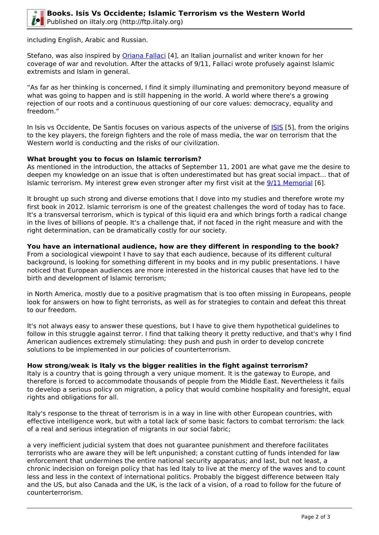

including English, Arabic and Russian.

Stefano, was also inspired by *Oriana Fallaci* [4], an Italian journalist and writer known for her coverage of war and revolution. After the attacks of 9/11, Fallaci wrote profusely against Islamic extremists and Islam in general.

"As far as her thinking is concerned, I find it simply illuminating and premonitory beyond measure of what was going to happen and is still happening in the world. A world where there's a growing rejection of our roots and a continuous questioning of our core values: democracy, equality and freedom."

In Isis vs Occidente, De Santis focuses on various aspects of the universe of **ISIS** [5], from the origins to the key players, the foreign fighters and the role of mass media, the war on terrorism that the Western world is conducting and the risks of our civilization.

### **What brought you to focus on Islamic terrorism?**

As mentioned in the introduction, the attacks of September 11, 2001 are what gave me the desire to deepen my knowledge on an issue that is often underestimated but has great social impact... that of Islamic terrorism. My interest grew even stronger after my first visit at the [9/11 Memorial](http://www.911memorial.org/) [6].

It brought up such strong and diverse emotions that I dove into my studies and therefore wrote my first book in 2012. Islamic terrorism is one of the greatest challenges the word of today has to face. It's a transversal terrorism, which is typical of this liquid era and which brings forth a radical change in the lives of billions of people. It's a challenge that, if not faced in the right measure and with the right determination, can be dramatically costly for our society.

### **You have an international audience, how are they different in responding to the book?**

From a sociological viewpoint I have to say that each audience, because of its different cultural background, is looking for something different in my books and in my public presentations. I have noticed that European audiences are more interested in the historical causes that have led to the birth and development of Islamic terrorism;

in North America, mostly due to a positive pragmatism that is too often missing in Europeans, people look for answers on how to fight terrorists, as well as for strategies to contain and defeat this threat to our freedom.

It's not always easy to answer these questions, but I have to give them hypothetical guidelines to follow in this struggle against terror. I find that talking theory it pretty reductive, and that's why I find American audiences extremely stimulating: they push and push in order to develop concrete solutions to be implemented in our policies of counterterrorism.

## **How strong/weak is Italy vs the bigger realities in the fight against terrorism?**

Italy is a country that is going through a very unique moment. It is the gateway to Europe, and therefore is forced to accommodate thousands of people from the Middle East. Nevertheless it fails to develop a serious policy on migration, a policy that would combine hospitality and foresight, equal rights and obligations for all.

Italy's response to the threat of terrorism is in a way in line with other European countries, with effective intelligence work, but with a total lack of some basic factors to combat terrorism: the lack of a real and serious integration of migrants in our social fabric;

a very inefficient judicial system that does not guarantee punishment and therefore facilitates terrorists who are aware they will be left unpunished; a constant cutting of funds intended for law enforcement that undermines the entire national security apparatus; and last, but not least, a chronic indecision on foreign policy that has led Italy to live at the mercy of the waves and to count less and less in the context of international politics. Probably the biggest difference between Italy and the US, but also Canada and the UK, is the lack of a vision, of a road to follow for the future of counterterrorism.